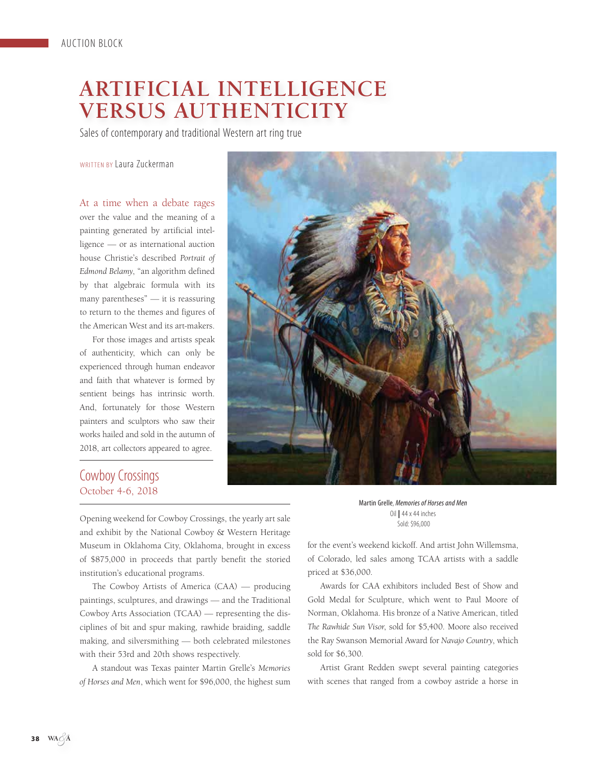# **ARTIFICIAL INTELLIGENCE VERSUS AUTHENTICITY**

Sales of contemporary and traditional Western art ring true

#### WRITTEN BY Laura Zuckerman

At a time when a debate rages over the value and the meaning of a painting generated by artificial intelligence — or as international auction house Christie's described *Portrait of Edmond Belamy*, "an algorithm defined by that algebraic formula with its many parentheses" — it is reassuring to return to the themes and figures of the American West and its art-makers.

For those images and artists speak of authenticity, which can only be experienced through human endeavor and faith that whatever is formed by sentient beings has intrinsic worth. And, fortunately for those Western painters and sculptors who saw their works hailed and sold in the autumn of 2018, art collectors appeared to agree.



# Cowboy Crossings October 4-6, 2018

j

Opening weekend for Cowboy Crossings, the yearly art sale and exhibit by the National Cowboy & Western Heritage Museum in Oklahoma City, Oklahoma, brought in excess of \$875,000 in proceeds that partly benefit the storied institution's educational programs.

The Cowboy Artists of America (CAA) — producing paintings, sculptures, and drawings — and the Traditional Cowboy Arts Association (TCAA) — representing the disciplines of bit and spur making, rawhide braiding, saddle making, and silversmithing — both celebrated milestones with their 53rd and 20th shows respectively.

A standout was Texas painter Martin Grelle's *Memories of Horses and Men*, which went for \$96,000, the highest sum

Martin Grelle, Memories of Horses and Men Oil **|** 44 x 44 inches Sold: \$96,000

for the event's weekend kickoff. And artist John Willemsma, of Colorado, led sales among TCAA artists with a saddle priced at \$36,000.

Awards for CAA exhibitors included Best of Show and Gold Medal for Sculpture, which went to Paul Moore of Norman, Oklahoma. His bronze of a Native American, titled *The Rawhide Sun Visor*, sold for \$5,400. Moore also received the Ray Swanson Memorial Award for *Navajo Country*, which sold for \$6,300.

Artist Grant Redden swept several painting categories with scenes that ranged from a cowboy astride a horse in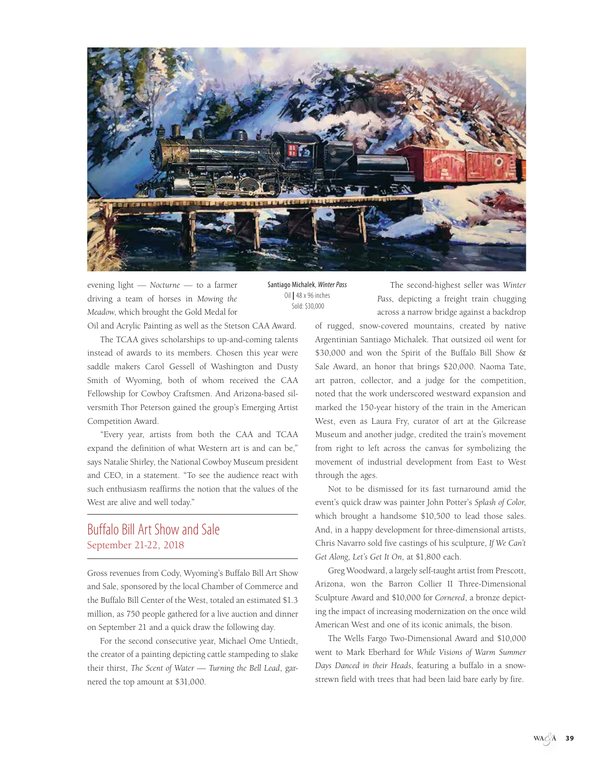

evening light — *Nocturne* — to a farmer driving a team of horses in *Mowing the Meadow*, which brought the Gold Medal for Santiago Michalek, Winter Pass Oil **|** 48 x 96 inches Sold: \$30,000

Oil and Acrylic Painting as well as the Stetson CAA Award.

The TCAA gives scholarships to up-and-coming talents instead of awards to its members. Chosen this year were saddle makers Carol Gessell of Washington and Dusty Smith of Wyoming, both of whom received the CAA Fellowship for Cowboy Craftsmen. And Arizona-based silversmith Thor Peterson gained the group's Emerging Artist Competition Award.

"Every year, artists from both the CAA and TCAA expand the definition of what Western art is and can be," says Natalie Shirley, the National Cowboy Museum president and CEO, in a statement. "To see the audience react with such enthusiasm reaffirms the notion that the values of the West are alive and well today."

#### Buffalo Bill Art Show and Sale September 21-22, 2018

Gross revenues from Cody, Wyoming's Buffalo Bill Art Show and Sale, sponsored by the local Chamber of Commerce and the Buffalo Bill Center of the West, totaled an estimated \$1.3 million, as 750 people gathered for a live auction and dinner on September 21 and a quick draw the following day.

For the second consecutive year, Michael Ome Untiedt, the creator of a painting depicting cattle stampeding to slake their thirst, *The Scent of Water — Turning the Bell Lead*, garnered the top amount at \$31,000.

The second-highest seller was *Winter Pass*, depicting a freight train chugging across a narrow bridge against a backdrop

of rugged, snow-covered mountains, created by native Argentinian Santiago Michalek. That outsized oil went for \$30,000 and won the Spirit of the Buffalo Bill Show & Sale Award, an honor that brings \$20,000. Naoma Tate, art patron, collector, and a judge for the competition, noted that the work underscored westward expansion and marked the 150-year history of the train in the American West, even as Laura Fry, curator of art at the Gilcrease Museum and another judge, credited the train's movement from right to left across the canvas for symbolizing the movement of industrial development from East to West through the ages.

Not to be dismissed for its fast turnaround amid the event's quick draw was painter John Potter's *Splash of Color*, which brought a handsome \$10,500 to lead those sales. And, in a happy development for three-dimensional artists, Chris Navarro sold five castings of his sculpture, *If We Can't Get Along, Let's Get It On,* at \$1,800 each.

Greg Woodward, a largely self-taught artist from Prescott, Arizona, won the Barron Collier II Three-Dimensional Sculpture Award and \$10,000 for *Cornered*, a bronze depicting the impact of increasing modernization on the once wild American West and one of its iconic animals, the bison.

The Wells Fargo Two-Dimensional Award and \$10,000 went to Mark Eberhard for *While Visions of Warm Summer Days Danced in their Heads*, featuring a buffalo in a snowstrewn field with trees that had been laid bare early by fire.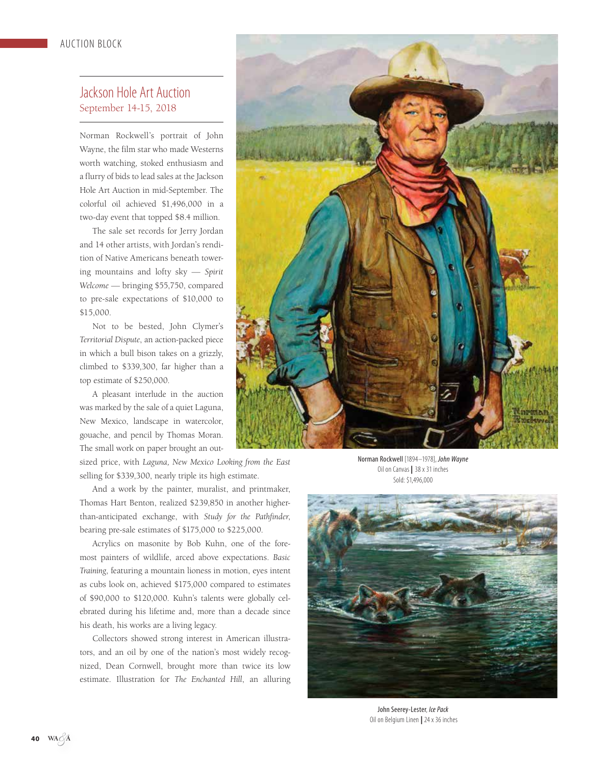### Jackson Hole Art Auction September 14-15, 2018

Norman Rockwell's portrait of John Wayne, the film star who made Westerns worth watching, stoked enthusiasm and a flurry of bids to lead sales at the Jackson Hole Art Auction in mid-September. The colorful oil achieved \$1,496,000 in a two-day event that topped \$8.4 million.

The sale set records for Jerry Jordan and 14 other artists, with Jordan's rendition of Native Americans beneath towering mountains and lofty sky — *Spirit Welcome* — bringing \$55,750, compared to pre-sale expectations of \$10,000 to \$15,000.

Not to be bested, John Clymer's *Territorial Dispute*, an action-packed piece in which a bull bison takes on a grizzly, climbed to \$339,300, far higher than a top estimate of \$250,000.

A pleasant interlude in the auction was marked by the sale of a quiet Laguna, New Mexico, landscape in watercolor, gouache, and pencil by Thomas Moran. The small work on paper brought an out-

sized price, with *Laguna, New Mexico Looking from the East* selling for \$339,300, nearly triple its high estimate.

And a work by the painter, muralist, and printmaker, Thomas Hart Benton, realized \$239,850 in another higherthan-anticipated exchange, with *Study for the Pathfinder*, bearing pre-sale estimates of \$175,000 to \$225,000.

Acrylics on masonite by Bob Kuhn, one of the foremost painters of wildlife, arced above expectations. *Basic Training*, featuring a mountain lioness in motion, eyes intent as cubs look on, achieved \$175,000 compared to estimates of \$90,000 to \$120,000. Kuhn's talents were globally celebrated during his lifetime and, more than a decade since his death, his works are a living legacy.

Collectors showed strong interest in American illustrators, and an oil by one of the nation's most widely recognized, Dean Cornwell, brought more than twice its low estimate. Illustration for *The Enchanted Hill*, an alluring



Norman Rockwell [1894–1978], John Wayne Oil on Canvas **|** 38 x 31 inches Sold: \$1,496,000



John Seerey-Lester, Ice Pack Oil on Belgium Linen **|** 24 x 36 inches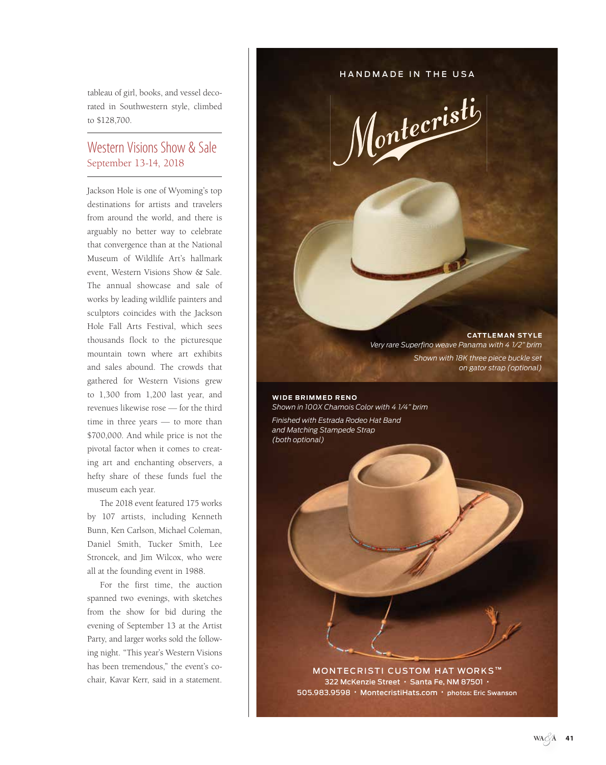tableau of girl, books, and vessel decorated in Southwestern style, climbed to \$128,700.

### Western Visions Show & Sale September 13-14, 2018

Jackson Hole is one of Wyoming's top destinations for artists and travelers from around the world, and there is arguably no better way to celebrate that convergence than at the National Museum of Wildlife Art's hallmark event, Western Visions Show & Sale. The annual showcase and sale of works by leading wildlife painters and sculptors coincides with the Jackson Hole Fall Arts Festival, which sees thousands flock to the picturesque mountain town where art exhibits and sales abound. The crowds that gathered for Western Visions grew to 1,300 from 1,200 last year, and revenues likewise rose — for the third time in three years — to more than \$700,000. And while price is not the pivotal factor when it comes to creating art and enchanting observers, a hefty share of these funds fuel the museum each year.

The 2018 event featured 175 works by 107 artists, including Kenneth Bunn, Ken Carlson, Michael Coleman, Daniel Smith, Tucker Smith, Lee Stroncek, and Jim Wilcox, who were all at the founding event in 1988.

For the first time, the auction spanned two evenings, with sketches from the show for bid during the evening of September 13 at the Artist Party, and larger works sold the following night. "This year's Western Visions has been tremendous," the event's cochair, Kavar Kerr, said in a statement.

HANDMADE IN THE USA

Montecristi

**CATTLEMAN STYLE** *Very rare Superfino weave Panama with 4 1/2" brim Shown with 18K three piece buckle set on gator strap (optional)* 

**WIDE BRIMMED RENO** *Shown in 100X Chamois Color with 4 1/4" brim*

*Finished with Estrada Rodeo Hat Band and Matching Stampede Strap (both optional)*

> **MONTECRISTI CUSTOM HAT WORKS™** 322 McKenzie Street • Santa Fe, NM 87501 • 505.983.9598 • MontecristiHats.com • photos: Eric Swanson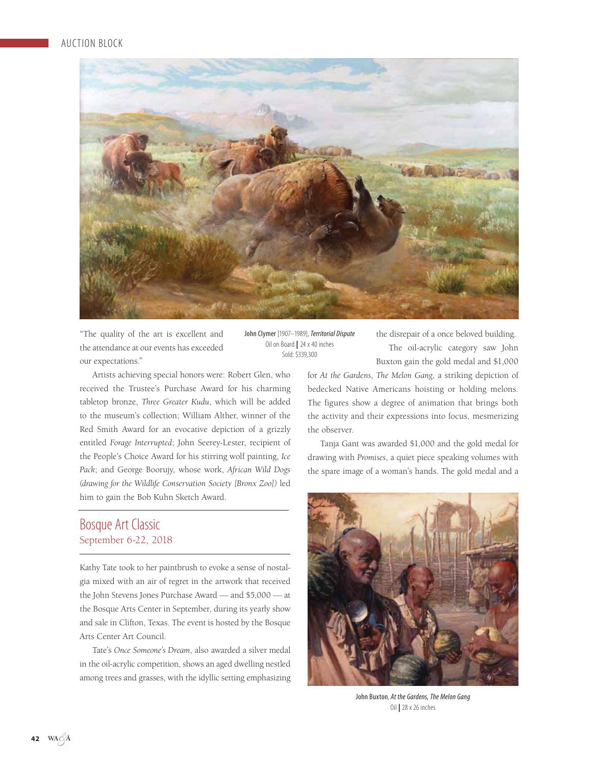

"The quality of the art is excellent and the attendance at our events has exceeded our expectations."

Artists achieving special honors were: Robert Glen, who received the Trustee's Purchase Award for his charming tabletop bronze, *Three Greater Kudu*, which will be added to the museum's collection; William Alther, winner of the Red Smith Award for an evocative depiction of a grizzly entitled *Forage Interrupted*; John Seerey-Lester, recipient of the People's Choice Award for his stirring wolf painting, *Ice Pack*; and George Boorujy, whose work, *African Wild Dogs (drawing for the Wildlife Conservation Society [Bronx Zoo])* led him to gain the Bob Kuhn Sketch Award.

## Bosque Art Classic September 6-22, 2018

Kathy Tate took to her paintbrush to evoke a sense of nostalgia mixed with an air of regret in the artwork that received the John Stevens Jones Purchase Award — and \$5,000 — at the Bosque Arts Center in September, during its yearly show and sale in Clifton, Texas. The event is hosted by the Bosque Arts Center Art Council.

Tate's *Once Someone's Dream*, also awarded a silver medal in the oil-acrylic competition, shows an aged dwelling nestled among trees and grasses, with the idyllic setting emphasizing

John Clymer [1907–1989], Territorial Dispute Oil on Board **|** 24 x 40 inches Sold: \$339,300

the disrepair of a once beloved building. The oil-acrylic category saw John Buxton gain the gold medal and \$1,000

for *At the Gardens, The Melon Gang*, a striking depiction of bedecked Native Americans hoisting or holding melons. The figures show a degree of animation that brings both the activity and their expressions into focus, mesmerizing the observer.

Tanja Gant was awarded \$1,000 and the gold medal for drawing with *Promises*, a quiet piece speaking volumes with the spare image of a woman's hands. The gold medal and a



John Buxton, At the Gardens, The Melon Gang Oil **|** 28 x 26 inches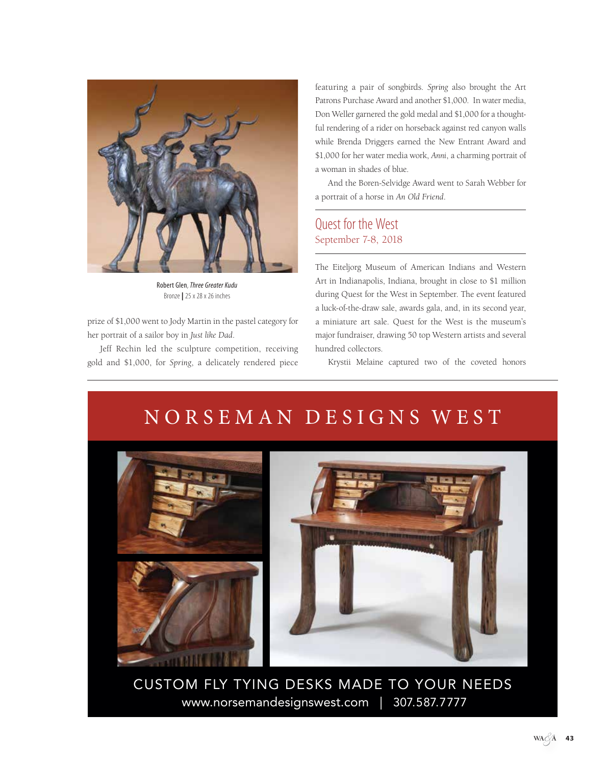

Robert Glen, Three Greater Kudu Bronze **|** 25 x 28 x 26 inches

prize of \$1,000 went to Jody Martin in the pastel category for her portrait of a sailor boy in *Just like Dad*.

Jeff Rechin led the sculpture competition, receiving gold and \$1,000, for *Spring*, a delicately rendered piece featuring a pair of songbirds. *Spring* also brought the Art Patrons Purchase Award and another \$1,000. In water media, Don Weller garnered the gold medal and \$1,000 for a thoughtful rendering of a rider on horseback against red canyon walls while Brenda Driggers earned the New Entrant Award and \$1,000 for her water media work, *Anni*, a charming portrait of a woman in shades of blue.

And the Boren-Selvidge Award went to Sarah Webber for a portrait of a horse in *An Old Friend*.

# Quest for the West September 7-8, 2018

The Eiteljorg Museum of American Indians and Western Art in Indianapolis, Indiana, brought in close to \$1 million during Quest for the West in September. The event featured a luck-of-the-draw sale, awards gala, and, in its second year, a miniature art sale. Quest for the West is the museum's major fundraiser, drawing 50 top Western artists and several hundred collectors.

Krystii Melaine captured two of the coveted honors

# NORSEMAN DESIGNS WEST



CUSTOM FLY TYING DESKS MADE TO YOUR NEEDS www.norsemandesignswest.com | 307.587.7777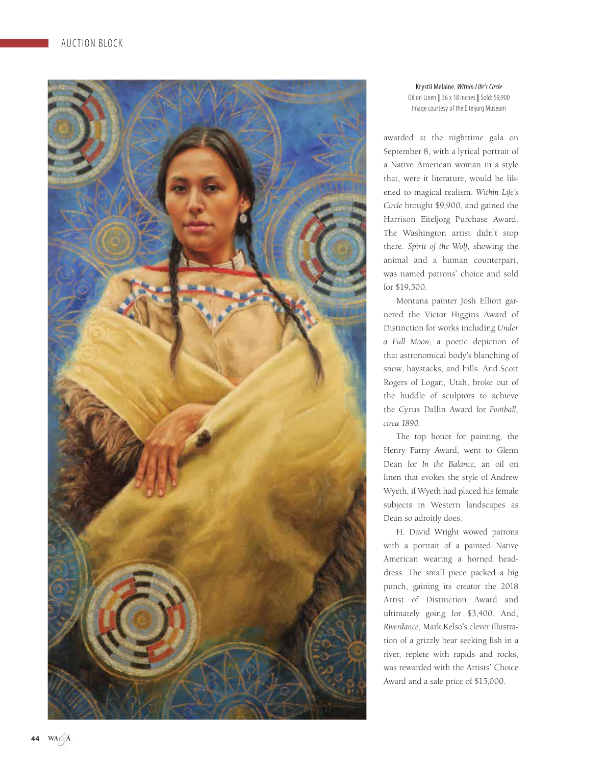

Krystii Melaine, Within Life's Circle Oil on Linen **|** 36 x 18 inches **|** Sold: \$9,900 Image courtesy of the Eiteljorg Museum

awarded at the nighttime gala on September 8, with a lyrical portrait of a Native American woman in a style that, were it literature, would be likened to magical realism. *Within Life's Circle* brought \$9,900, and gained the Harrison Eiteljorg Purchase Award. The Washington artist didn't stop there. *Spirit of the Wolf*, showing the animal and a human counterpart, was named patrons' choice and sold for \$19,500.

Montana painter Josh Elliott garnered the Victor Higgins Award of Distinction for works including *Under a Full Moon*, a poetic depiction of that astronomical body's blanching of snow, haystacks, and hills. And Scott Rogers of Logan, Utah, broke out of the huddle of sculptors to achieve the Cyrus Dallin Award for *Football, circa 1890*.

The top honor for painting, the Henry Farny Award, went to Glenn Dean for *In the Balance*, an oil on linen that evokes the style of Andrew Wyeth, if Wyeth had placed his female subjects in Western landscapes as Dean so adroitly does.

H. David Wright wowed patrons with a portrait of a painted Native American wearing a horned head dress. The small piece packed a big punch, gaining its creator the 2018 Artist of Distinction Award and ultimately going for \$3,400. And, *Riverdance*, Mark Kelso's clever illustra tion of a grizzly bear seeking fish in a river, replete with rapids and rocks, was rewarded with the Artists' Choice Award and a sale price of \$15,000.